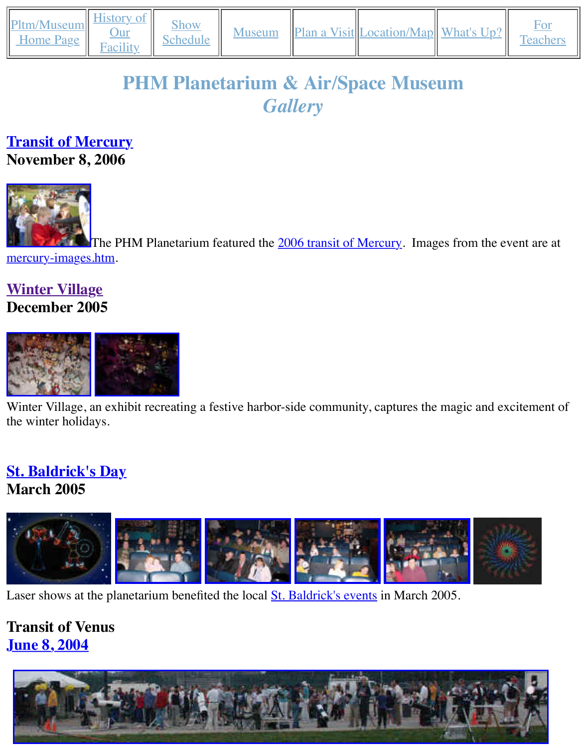#### *Gallery*

#### **[Transit of M](http://old.transitofvenus.org/phm/index.htm)[ercury](http://old.transitofvenus.org/phm/history.htm) November 8, 2006**



[The PHM](http://old.transitofvenus.org/mercury-images.htm) Planetarium featured the 2006 transit of Mercury. Images from the mercury-images.htm.

# **Winter Village [December 20](http://old.transitofvenus.org/phm/mercury.htm)05**



Winter Village, an exhibit recreating a festive harbor-side community, captures the magic and of the winter holidays.

#### **[St. Baldrick'](http://old.transitofvenus.org/phm/village08153.JPG)[s Day](http://old.transitofvenus.org/phm/village08154.JPG) March 2005**



Laser shows at the planetarium benefited the local **St. Baldrick's events** in March 2005.

# **[Transit of Venus](http://old.transitofvenus.org/phm/schedule.htm#laser) June 8, 2004**